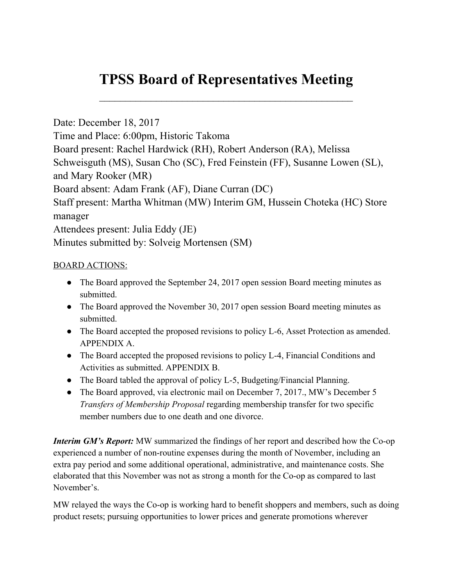# **TPSS Board of Representatives Meeting**

 $\mathcal{L}_\text{max}$  , and the contract of the contract of the contract of the contract of the contract of the contract of the contract of the contract of the contract of the contract of the contract of the contract of the contr

Date: December 18, 2017 Time and Place: 6:00pm, Historic Takoma Board present: Rachel Hardwick (RH), Robert Anderson (RA), Melissa Schweisguth (MS), Susan Cho (SC), Fred Feinstein (FF), Susanne Lowen (SL), and Mary Rooker (MR) Board absent: Adam Frank (AF), Diane Curran (DC) Staff present: Martha Whitman (MW) Interim GM, Hussein Choteka (HC) Store manager Attendees present: Julia Eddy (JE) Minutes submitted by: Solveig Mortensen (SM)

## BOARD ACTIONS:

- The Board approved the September 24, 2017 open session Board meeting minutes as submitted.
- The Board approved the November 30, 2017 open session Board meeting minutes as submitted.
- The Board accepted the proposed revisions to policy L-6, Asset Protection as amended. APPENDIX A.
- The Board accepted the proposed revisions to policy L-4, Financial Conditions and Activities as submitted. APPENDIX B.
- The Board tabled the approval of policy L-5, Budgeting/Financial Planning.
- The Board approved, via electronic mail on December 7, 2017., MW's December 5 *Transfers of Membership Proposal* regarding membership transfer for two specific member numbers due to one death and one divorce.

*Interim GM's Report:* MW summarized the findings of her report and described how the Co-op experienced a number of non-routine expenses during the month of November, including an extra pay period and some additional operational, administrative, and maintenance costs. She elaborated that this November was not as strong a month for the Co-op as compared to last November's.

MW relayed the ways the Co-op is working hard to benefit shoppers and members, such as doing product resets; pursuing opportunities to lower prices and generate promotions wherever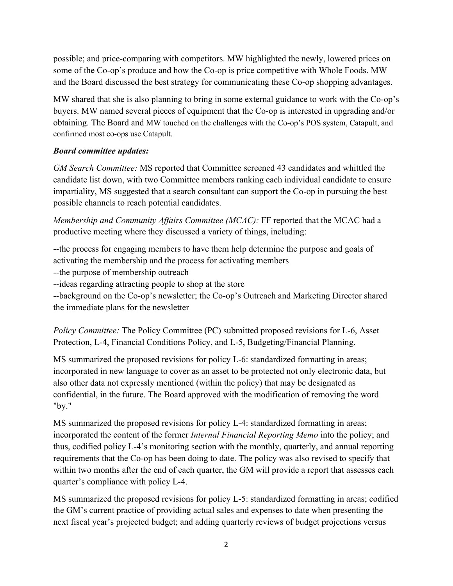possible; and price-comparing with competitors. MW highlighted the newly, lowered prices on some of the Co-op's produce and how the Co-op is price competitive with Whole Foods. MW and the Board discussed the best strategy for communicating these Co-op shopping advantages.

MW shared that she is also planning to bring in some external guidance to work with the Co-op's buyers. MW named several pieces of equipment that the Co-op is interested in upgrading and/or obtaining. The Board and MW touched on the challenges with the Co-op's POS system, Catapult, and confirmed most co-ops use Catapult.

## *Board committee updates:*

*GM Search Committee:* MS reported that Committee screened 43 candidates and whittled the candidate list down, with two Committee members ranking each individual candidate to ensure impartiality, MS suggested that a search consultant can support the Co-op in pursuing the best possible channels to reach potential candidates.

*Membership and Community Affairs Committee (MCAC):* FF reported that the MCAC had a productive meeting where they discussed a variety of things, including:

--the process for engaging members to have them help determine the purpose and goals of activating the membership and the process for activating members

--the purpose of membership outreach

--ideas regarding attracting people to shop at the store

--background on the Co-op's newsletter; the Co-op's Outreach and Marketing Director shared the immediate plans for the newsletter

*Policy Committee:* The Policy Committee (PC) submitted proposed revisions for L-6, Asset Protection, L-4, Financial Conditions Policy, and L-5, Budgeting/Financial Planning.

MS summarized the proposed revisions for policy L-6: standardized formatting in areas; incorporated in new language to cover as an asset to be protected not only electronic data, but also other data not expressly mentioned (within the policy) that may be designated as confidential, in the future. The Board approved with the modification of removing the word "by."

MS summarized the proposed revisions for policy L-4: standardized formatting in areas; incorporated the content of the former *Internal Financial Reporting Memo* into the policy; and thus, codified policy L-4's monitoring section with the monthly, quarterly, and annual reporting requirements that the Co-op has been doing to date. The policy was also revised to specify that within two months after the end of each quarter, the GM will provide a report that assesses each quarter's compliance with policy L-4.

MS summarized the proposed revisions for policy L-5: standardized formatting in areas; codified the GM's current practice of providing actual sales and expenses to date when presenting the next fiscal year's projected budget; and adding quarterly reviews of budget projections versus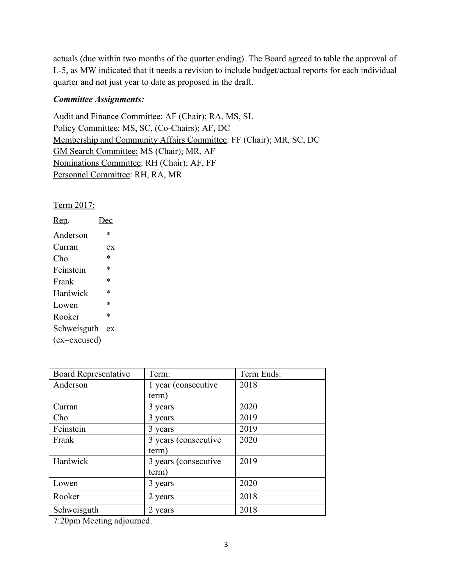actuals (due within two months of the quarter ending). The Board agreed to table the approval of L-5, as MW indicated that it needs a revision to include budget/actual reports for each individual quarter and not just year to date as proposed in the draft.

### *Committee Assignments:*

Audit and Finance Committee: AF (Chair); RA, MS, SL Policy Committee: MS, SC, (Co-Chairs); AF, DC Membership and Community Affairs Committee: FF (Chair); MR, SC, DC GM Search Committee: MS (Chair); MR, AF Nominations Committee: RH (Chair); AF, FF Personnel Committee: RH, RA, MR

Term 2017:

| Rep.         | ec     |
|--------------|--------|
| Anderson     | *      |
| Curran       | ex     |
| Cho          | *      |
| Feinstein    | *      |
| Frank        | *      |
| Hardwick     | *      |
| Lowen        | *      |
| Rooker       | $\ast$ |
| Schweisguth  | ex     |
| (ex=excused) |        |

| <b>Board Representative</b> | Term:                | Term Ends: |
|-----------------------------|----------------------|------------|
| Anderson                    | 1 year (consecutive  | 2018       |
|                             | term)                |            |
| Curran                      | 3 years              | 2020       |
| Cho                         | 3 years              | 2019       |
| Feinstein                   | 3 years              | 2019       |
| Frank                       | 3 years (consecutive | 2020       |
|                             | term)                |            |
| Hardwick                    | 3 years (consecutive | 2019       |
|                             | term)                |            |
| Lowen                       | 3 years              | 2020       |
| Rooker                      | 2 years              | 2018       |
| Schweisguth                 | 2 years              | 2018       |

7:20pm Meeting adjourned.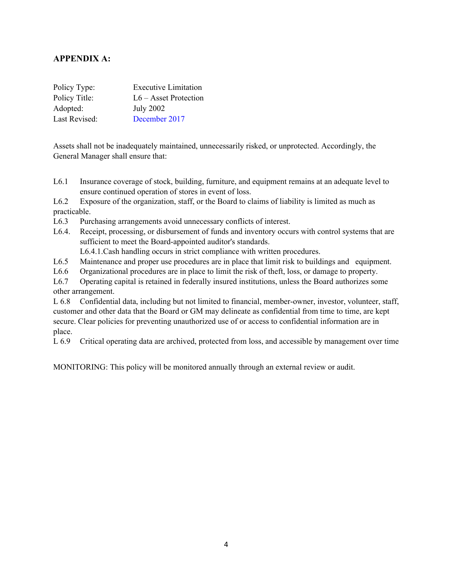## **APPENDIX A:**

| Policy Type:  | <b>Executive Limitation</b> |
|---------------|-----------------------------|
| Policy Title: | $L6 -$ Asset Protection     |
| Adopted:      | <b>July 2002</b>            |
| Last Revised: | December 2017               |

Assets shall not be inadequately maintained, unnecessarily risked, or unprotected. Accordingly, the General Manager shall ensure that:

L6.1 Insurance coverage of stock, building, furniture, and equipment remains at an adequate level to ensure continued operation of stores in event of loss.

L6.2 Exposure of the organization, staff, or the Board to claims of liability is limited as much as practicable.

- L6.3 Purchasing arrangements avoid unnecessary conflicts of interest.
- L6.4. Receipt, processing, or disbursement of funds and inventory occurs with control systems that are sufficient to meet the Board-appointed auditor's standards.

L6.4.1.Cash handling occurs in strict compliance with written procedures.

- L6.5 Maintenance and proper use procedures are in place that limit risk to buildings and equipment.
- L6.6 Organizational procedures are in place to limit the risk of theft, loss, or damage to property.

L6.7 Operating capital is retained in federally insured institutions, unless the Board authorizes some other arrangement.

L 6.8 Confidential data, including but not limited to financial, member-owner, investor, volunteer, staff, customer and other data that the Board or GM may delineate as confidential from time to time, are kept secure. Clear policies for preventing unauthorized use of or access to confidential information are in place.

L 6.9 Critical operating data are archived, protected from loss, and accessible by management over time

MONITORING: This policy will be monitored annually through an external review or audit.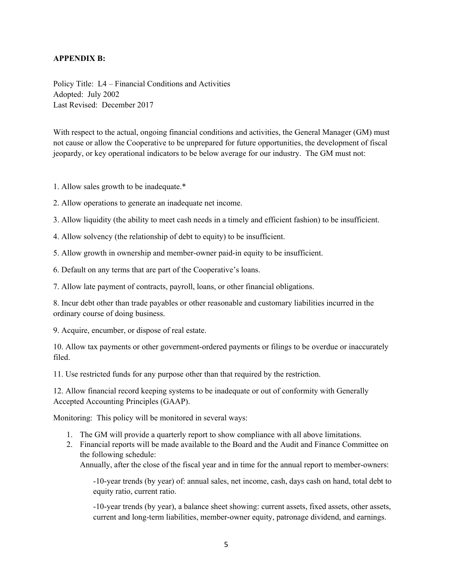#### **APPENDIX B:**

Policy Title: L4 – Financial Conditions and Activities Adopted: July 2002 Last Revised: December 2017

With respect to the actual, ongoing financial conditions and activities, the General Manager (GM) must not cause or allow the Cooperative to be unprepared for future opportunities, the development of fiscal jeopardy, or key operational indicators to be below average for our industry. The GM must not:

1. Allow sales growth to be inadequate.\*

2. Allow operations to generate an inadequate net income.

3. Allow liquidity (the ability to meet cash needs in a timely and efficient fashion) to be insufficient.

4. Allow solvency (the relationship of debt to equity) to be insufficient.

5. Allow growth in ownership and member-owner paid-in equity to be insufficient.

6. Default on any terms that are part of the Cooperative's loans.

7. Allow late payment of contracts, payroll, loans, or other financial obligations.

8. Incur debt other than trade payables or other reasonable and customary liabilities incurred in the ordinary course of doing business.

9. Acquire, encumber, or dispose of real estate.

10. Allow tax payments or other government-ordered payments or filings to be overdue or inaccurately filed.

11. Use restricted funds for any purpose other than that required by the restriction.

12. Allow financial record keeping systems to be inadequate or out of conformity with Generally Accepted Accounting Principles (GAAP).

Monitoring: This policy will be monitored in several ways:

- 1. The GM will provide a quarterly report to show compliance with all above limitations.
- 2. Financial reports will be made available to the Board and the Audit and Finance Committee on the following schedule:

Annually, after the close of the fiscal year and in time for the annual report to member-owners:

-10-year trends (by year) of: annual sales, net income, cash, days cash on hand, total debt to equity ratio, current ratio.

-10-year trends (by year), a balance sheet showing: current assets, fixed assets, other assets, current and long-term liabilities, member-owner equity, patronage dividend, and earnings.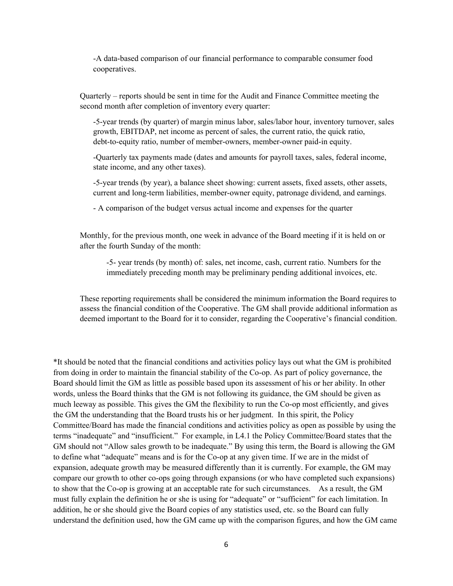-A data-based comparison of our financial performance to comparable consumer food cooperatives.

Quarterly – reports should be sent in time for the Audit and Finance Committee meeting the second month after completion of inventory every quarter:

-5-year trends (by quarter) of margin minus labor, sales/labor hour, inventory turnover, sales growth, EBITDAP, net income as percent of sales, the current ratio, the quick ratio, debt-to-equity ratio, number of member-owners, member-owner paid-in equity.

-Quarterly tax payments made (dates and amounts for payroll taxes, sales, federal income, state income, and any other taxes).

-5-year trends (by year), a balance sheet showing: current assets, fixed assets, other assets, current and long-term liabilities, member-owner equity, patronage dividend, and earnings.

- A comparison of the budget versus actual income and expenses for the quarter

Monthly, for the previous month, one week in advance of the Board meeting if it is held on or after the fourth Sunday of the month:

-5- year trends (by month) of: sales, net income, cash, current ratio. Numbers for the immediately preceding month may be preliminary pending additional invoices, etc.

These reporting requirements shall be considered the minimum information the Board requires to assess the financial condition of the Cooperative. The GM shall provide additional information as deemed important to the Board for it to consider, regarding the Cooperative's financial condition.

\*It should be noted that the financial conditions and activities policy lays out what the GM is prohibited from doing in order to maintain the financial stability of the Co-op. As part of policy governance, the Board should limit the GM as little as possible based upon its assessment of his or her ability. In other words, unless the Board thinks that the GM is not following its guidance, the GM should be given as much leeway as possible. This gives the GM the flexibility to run the Co-op most efficiently, and gives the GM the understanding that the Board trusts his or her judgment. In this spirit, the Policy Committee/Board has made the financial conditions and activities policy as open as possible by using the terms "inadequate" and "insufficient." For example, in L4.1 the Policy Committee/Board states that the GM should not "Allow sales growth to be inadequate." By using this term, the Board is allowing the GM to define what "adequate" means and is for the Co-op at any given time. If we are in the midst of expansion, adequate growth may be measured differently than it is currently. For example, the GM may compare our growth to other co-ops going through expansions (or who have completed such expansions) to show that the Co-op is growing at an acceptable rate for such circumstances. As a result, the GM must fully explain the definition he or she is using for "adequate" or "sufficient" for each limitation. In addition, he or she should give the Board copies of any statistics used, etc. so the Board can fully understand the definition used, how the GM came up with the comparison figures, and how the GM came